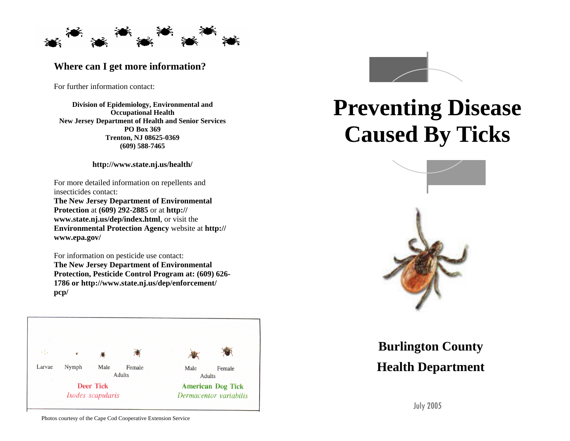

### **Where can I get more information?**

For further information contact:

**Division of Epidemiology, Environmental and Occupational Health New Jersey Department of Health and Senior Services PO Box 369 Trenton, NJ 08625-0369 (609) 588-7465**

**http://www.state.nj.us/health/** 

For more detailed information on repellents and insecticides contact: **The New Jersey Department of Environmental Protection** at **(609) 292-2885** or at **http:// www.state.nj.us/dep/index.html**, or visit the **Environmental Protection Agency** website at **http:// www.epa.gov/** 

For information on pesticide use contact: **The New Jersey Department of Environmental Protection, Pesticide Control Program at: (609) 626- 1786 or http://www.state.nj.us/dep/enforcement/ pcp/**





# **Preventing Disease Caused By Ticks**



## **Burlington County Health Department**

July 2005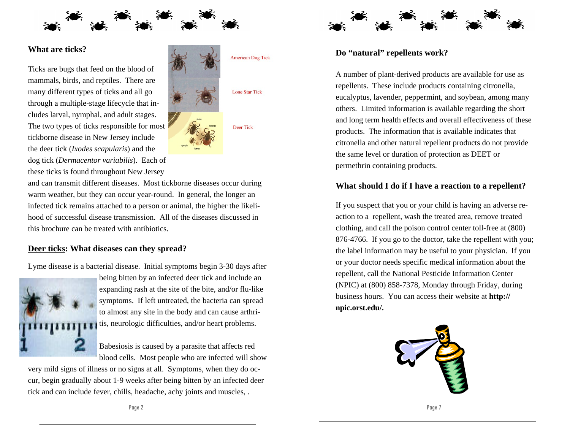

#### **What are ticks?**

Ticks are bugs that feed on the blood of mammals, birds, and reptiles. There are many different types of ticks and all go through a multiple-stage lifecycle that includes larval, nymphal, and adult stages. The two types of ticks responsible for most tickborne disease in New Jersey include the deer tick (*Ixodes scapularis*) and the dog tick (*Dermacentor variabilis*). Each of these ticks is found throughout New Jersey



and can transmit different diseases. Most tickborne diseases occur during warm weather, but they can occur year-round. In general, the longer an infected tick remains attached to a person or animal, the higher the likelihood of successful disease transmission. All of the diseases discussed in this brochure can be treated with antibiotics.

#### **Deer ticks: What diseases can they spread?**

Lyme disease is a bacterial disease. Initial symptoms begin 3-30 days after



being bitten by an infected deer tick and include an expanding rash at the site of the bite, and/or flu-like symptoms. If left untreated, the bacteria can spread to almost any site in the body and can cause arthritis, neurologic difficulties, and/or heart problems.

Babesiosis is caused by a parasite that affects red blood cells. Most people who are infected will show

very mild signs of illness or no signs at all. Symptoms, when they do occur, begin gradually about 1-9 weeks after being bitten by an infected deer tick and can include fever, chills, headache, achy joints and muscles, .



#### **Do "natural" repellents work?**

A number of plant-derived products are available for use as repellents. These include products containing citronella, eucalyptus, lavender, peppermint, and soybean, among many others. Limited information is available regarding the short and long term health effects and overall effectiveness of these products. The information that is available indicates that citronella and other natural repellent products do not provide the same level or duration of protection as DEET or permethrin containing products.

#### **What should I do if I have a reaction to a repellent?**

If you suspect that you or your child is having an adverse reaction to a repellent, wash the treated area, remove treated clothing, and call the poison control center toll-free at (800) 876-4766. If you go to the doctor, take the repellent with you; the label information may be useful to your physician. If you or your doctor needs specific medical information about the repellent, call the National Pesticide Information Center (NPIC) at (800) 858-7378, Monday through Friday, during business hours. You can access their website at **http:// npic.orst.edu/.** 

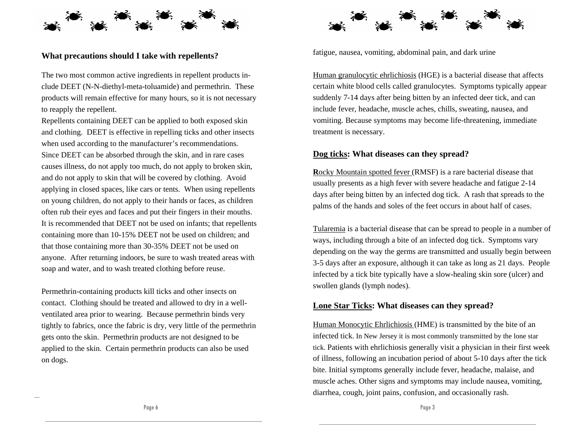

#### **What precautions should I take with repellents?**

The two most common active ingredients in repellent products include DEET (N-N-diethyl-meta-toluamide) and permethrin. These products will remain effective for many hours, so it is not necessary to reapply the repellent.

Repellents containing DEET can be applied to both exposed skin and clothing. DEET is effective in repelling ticks and other insects when used according to the manufacturer's recommendations. Since DEET can be absorbed through the skin, and in rare cases causes illness, do not apply too much, do not apply to broken skin, and do not apply to skin that will be covered by clothing. Avoid applying in closed spaces, like cars or tents. When using repellents on young children, do not apply to their hands or faces, as children often rub their eyes and faces and put their fingers in their mouths. It is recommended that DEET not be used on infants; that repellents containing more than 10-15% DEET not be used on children; and that those containing more than 30-35% DEET not be used on anyone. After returning indoors, be sure to wash treated areas with soap and water, and to wash treated clothing before reuse.

Permethrin-containing products kill ticks and other insects on contact. Clothing should be treated and allowed to dry in a wellventilated area prior to wearing. Because permethrin binds very tightly to fabrics, once the fabric is dry, very little of the permethrin gets onto the skin. Permethrin products are not designed to be applied to the skin. Certain permethrin products can also be used on dogs.



fatigue, nausea, vomiting, abdominal pain, and dark urine

Human granulocytic ehrlichiosis (HGE) is a bacterial disease that affects certain white blood cells called granulocytes. Symptoms typically appear suddenly 7-14 days after being bitten by an infected deer tick, and can include fever, headache, muscle aches, chills, sweating, nausea, and vomiting. Because symptoms may become life-threatening, immediate treatment is necessary.

#### **Dog ticks: What diseases can they spread?**

**R**ocky Mountain spotted fever (RMSF) is a rare bacterial disease that usually presents as a high fever with severe headache and fatigue 2-14 days after being bitten by an infected dog tick. A rash that spreads to the palms of the hands and soles of the feet occurs in about half of cases.

Tularemia is a bacterial disease that can be spread to people in a number of ways, including through a bite of an infected dog tick. Symptoms vary depending on the way the germs are transmitted and usually begin between 3-5 days after an exposure, although it can take as long as 21 days. People infected by a tick bite typically have a slow-healing skin sore (ulcer) and swollen glands (lymph nodes).

#### **Lone Star Ticks: What diseases can they spread?**

Human Monocytic Ehrlichiosis (HME) is transmitted by the bite of an infected tick. In New Jersey it is most commonly transmitted by the lone star tick. Patients with ehrlichiosis generally visit a physician in their first week of illness, following an incubation period of about 5-10 days after the tick bite. Initial symptoms generally include fever, headache, malaise, and muscle aches. Other signs and symptoms may include nausea, vomiting, diarrhea, cough, joint pains, confusion, and occasionally rash.